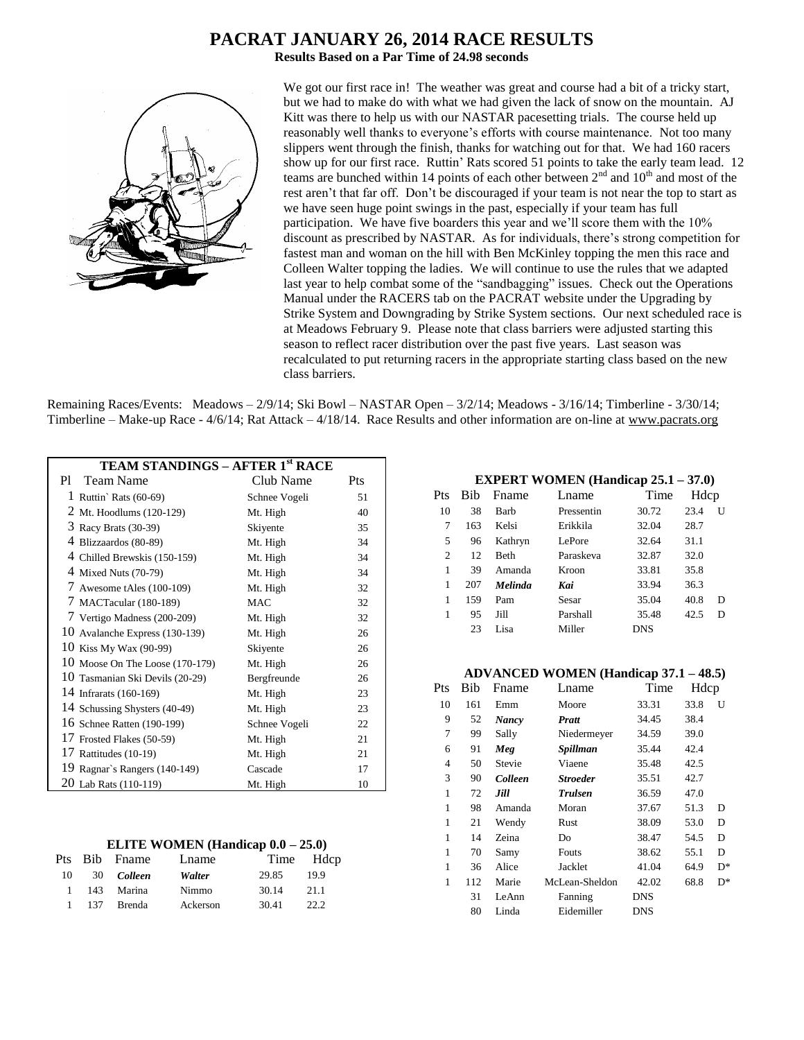# **PACRAT JANUARY 26, 2014 RACE RESULTS**

**Results Based on a Par Time of 24.98 seconds**



We got our first race in! The weather was great and course had a bit of a tricky start, but we had to make do with what we had given the lack of snow on the mountain. AJ Kitt was there to help us with our NASTAR pacesetting trials. The course held up reasonably well thanks to everyone's efforts with course maintenance. Not too many slippers went through the finish, thanks for watching out for that. We had 160 racers show up for our first race. Ruttin' Rats scored 51 points to take the early team lead. 12 teams are bunched within 14 points of each other between  $2<sup>nd</sup>$  and  $10<sup>th</sup>$  and most of the rest aren't that far off. Don't be discouraged if your team is not near the top to start as we have seen huge point swings in the past, especially if your team has full participation. We have five boarders this year and we'll score them with the 10% discount as prescribed by NASTAR. As for individuals, there's strong competition for fastest man and woman on the hill with Ben McKinley topping the men this race and Colleen Walter topping the ladies. We will continue to use the rules that we adapted last year to help combat some of the "sandbagging" issues. Check out the Operations Manual under the RACERS tab on the PACRAT website under the Upgrading by Strike System and Downgrading by Strike System sections. Our next scheduled race is at Meadows February 9. Please note that class barriers were adjusted starting this season to reflect racer distribution over the past five years. Last season was recalculated to put returning racers in the appropriate starting class based on the new class barriers.

Remaining Races/Events: Meadows – 2/9/14; Ski Bowl – NASTAR Open – 3/2/14; Meadows - 3/16/14; Timberline - 3/30/14; Timberline – Make-up Race - 4/6/14; Rat Attack – 4/18/14. Race Results and other information are on-line at www.pacrats.org

| <b>TEAM STANDINGS - AFTER 1st RACE</b> |               |     |
|----------------------------------------|---------------|-----|
| <b>Team Name</b><br>P1.                | Club Name     | Pts |
| 1 Ruttin' Rats $(60-69)$               | Schnee Vogeli | 51  |
| 2 Mt. Hoodlums (120-129)               | Mt. High      | 40  |
| 3 Racy Brats (30-39)                   | Skiyente      | 35  |
| 4 Blizzaardos (80-89)                  | Mt. High      | 34  |
| 4 Chilled Brewskis (150-159)           | Mt. High      | 34  |
| 4 Mixed Nuts (70-79)                   | Mt. High      | 34  |
| 7 Awesome tAles $(100-109)$            | Mt. High      | 32  |
| 7 MACTacular (180-189)                 | <b>MAC</b>    | 32  |
| 7 Vertigo Madness (200-209)            | Mt. High      | 32  |
| 10 Avalanche Express (130-139)         | Mt. High      | 26  |
| 10 Kiss My Wax (90-99)                 | Skiyente      | 26  |
| 10 Moose On The Loose (170-179)        | Mt. High      | 26  |
| 10 Tasmanian Ski Devils (20-29)        | Bergfreunde   | 26  |
| 14 Infrarats (160-169)                 | Mt. High      | 23  |
| 14 Schussing Shysters (40-49)          | Mt. High      | 23  |
| 16 Schnee Ratten (190-199)             | Schnee Vogeli | 22  |
| 17 Frosted Flakes (50-59)              | Mt. High      | 21  |
| 17 Rattitudes (10-19)                  | Mt. High      | 21  |
| 19 Ragnar's Rangers (140-149)          | Cascade       | 17  |
| 20 Lab Rats (110-119)                  | Mt. High      | 10  |

|        | Pts Bib Fname | Lname    |       | Time Hdcp |
|--------|---------------|----------|-------|-----------|
| - 10 - | 30 Colleen    | Walter   | 29.85 | 19.9      |
|        | 1 143 Marina  | Nimmo    | 30.14 | 21.1      |
|        | 1 137 Brenda  | Ackerson | 30.41 | 22.2      |

#### **EXPERT WOMEN (Handicap 25.1 – 37.0)**

| Pts | <b>Bib</b> | Fname          | Lname      | Time  | Hdcp |   |
|-----|------------|----------------|------------|-------|------|---|
| 10  | 38         | Barb           | Pressentin | 30.72 | 23.4 | U |
| 7   | 163        | Kelsi          | Erikkila   | 32.04 | 28.7 |   |
| 5   | 96         | Kathryn        | LePore     | 32.64 | 31.1 |   |
| 2   | 12         | <b>Beth</b>    | Paraskeva  | 32.87 | 32.0 |   |
| 1   | 39         | Amanda         | Kroon      | 33.81 | 35.8 |   |
| 1   | 207        | <b>Melinda</b> | Kai        | 33.94 | 36.3 |   |
| 1   | 159        | Pam            | Sesar      | 35.04 | 40.8 | D |
| 1   | 95         | Jill           | Parshall   | 35.48 | 42.5 | D |
|     | 23         | Lisa           | Miller     | DNS   |      |   |
|     |            |                |            |       |      |   |

#### **ADVANCED WOMEN (Handicap 37.1 – 48.5)**

| Pts          | Bib | Fname   | Lname           | Time       | Hdcp |    |
|--------------|-----|---------|-----------------|------------|------|----|
| 10           | 161 | Emm     | Moore           | 33.31      | 33.8 | U  |
| 9            | 52  | Nancy   | Pratt           | 34.45      | 38.4 |    |
| 7            | 99  | Sally   | Niedermeyer     | 34.59      | 39.0 |    |
| 6            | 91  | Meg     | Spillman        | 35.44      | 42.4 |    |
| 4            | 50  | Stevie  | Viaene          | 35.48      | 42.5 |    |
| 3            | 90  | Colleen | <b>Stroeder</b> | 35.51      | 42.7 |    |
| 1            | 72  | Jill    | <b>Trulsen</b>  | 36.59      | 47.0 |    |
| 1            | 98  | Amanda  | Moran           | 37.67      | 51.3 | D  |
| $\mathbf{1}$ | 21  | Wendy   | Rust            | 38.09      | 53.0 | D  |
| 1            | 14  | Zeina   | Do              | 38.47      | 54.5 | D  |
| 1            | 70  | Samy    | Fouts           | 38.62      | 55.1 | D  |
| $\mathbf{1}$ | 36  | Alice   | Jacklet         | 41.04      | 64.9 | D* |
| 1            | 112 | Marie   | McLean-Sheldon  | 42.02      | 68.8 | D* |
|              | 31  | LeAnn   | Fanning         | DNS        |      |    |
|              | 80  | Linda   | Eidemiller      | <b>DNS</b> |      |    |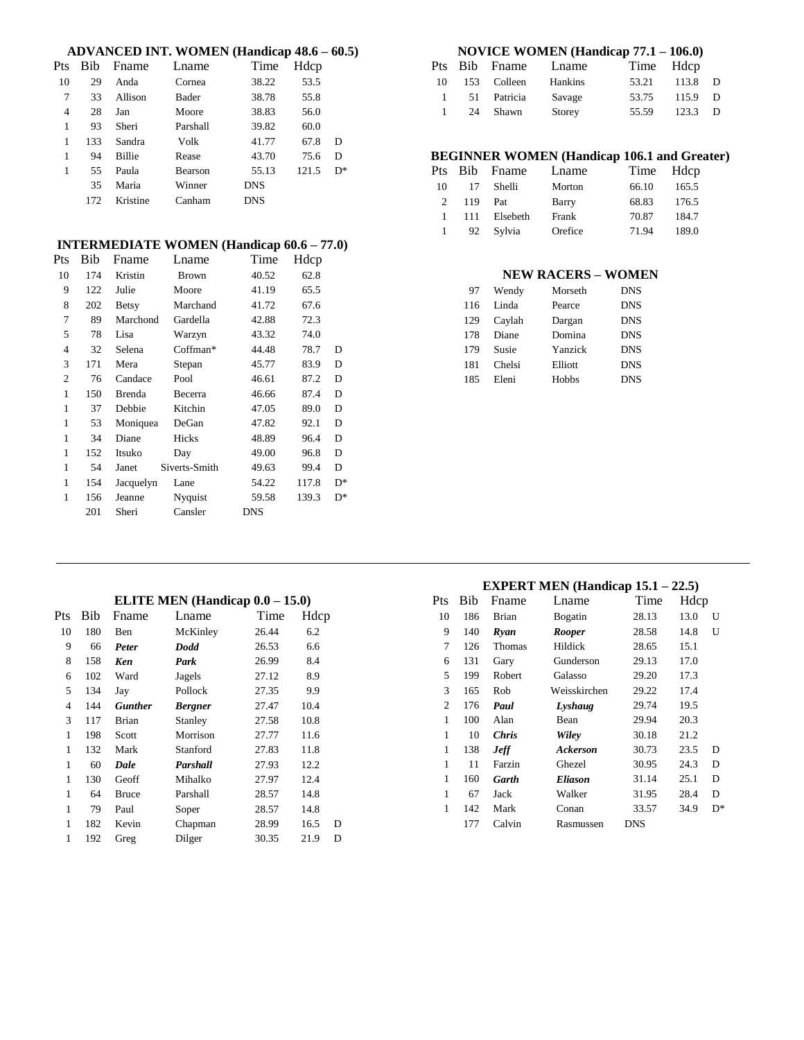#### **ADVANCED INT. WOMEN (Handicap 48.6 – 60.5)**

| Pts | <b>Bib</b> | Fname         | Lname    | Time       | Hdcp  |       |
|-----|------------|---------------|----------|------------|-------|-------|
| 10  | 29         | Anda          | Cornea   | 38.22      | 53.5  |       |
| 7   | 33         | Allison       | Bader    | 38.78      | 55.8  |       |
| 4   | 28         | Jan           | Moore    | 38.83      | 56.0  |       |
| 1   | 93         | Sheri         | Parshall | 39.82      | 60.0  |       |
| 1   | 133        | Sandra        | Volk     | 41.77      | 67.8  | D     |
| 1   | 94         | <b>Billie</b> | Rease    | 43.70      | 75.6  | D     |
| 1   | 55         | Paula         | Bearson  | 55.13      | 121.5 | $D^*$ |
|     | 35         | Maria         | Winner   | <b>DNS</b> |       |       |
|     | 172        | Kristine      | Canham   | <b>DNS</b> |       |       |

### **INTERMEDIATE WOMEN (Handicap 60.6 – 77.0)**

| Pts            | Bib | Fname         | Lname         | Time       | Hdcp  |    |
|----------------|-----|---------------|---------------|------------|-------|----|
| 10             | 174 | Kristin       | <b>Brown</b>  | 40.52      | 62.8  |    |
| 9              | 122 | Julie         | Moore         | 41.19      | 65.5  |    |
| 8              | 202 | <b>Betsy</b>  | Marchand      | 41.72      | 67.6  |    |
| 7              | 89  | Marchond      | Gardella      | 42.88      | 72.3  |    |
| 5              | 78  | Lisa          | Warzyn        | 43.32      | 74.0  |    |
| 4              | 32  | Selena        | Coffman*      | 44.48      | 78.7  | D  |
| 3              | 171 | Mera          | Stepan        | 45.77      | 83.9  | D  |
| $\overline{2}$ | 76  | Candace       | Pool          | 46.61      | 87.2  | D  |
| 1              | 150 | <b>Brenda</b> | Becerra       | 46.66      | 87.4  | D  |
| 1              | 37  | Debbie        | Kitchin       | 47.05      | 89.0  | D  |
| 1              | 53  | Moniquea      | DeGan         | 47.82      | 92.1  | D  |
| 1              | 34  | Diane         | Hicks         | 48.89      | 96.4  | D  |
| 1              | 152 | Itsuko        | Day           | 49.00      | 96.8  | D  |
| 1              | 54  | Janet         | Siverts-Smith | 49.63      | 99.4  | D  |
| 1              | 154 | Jacquelyn     | Lane          | 54.22      | 117.8 | D* |
| 1              | 156 | Jeanne        | Nyquist       | 59.58      | 139.3 | D* |
|                | 201 | Sheri         | Cansler       | <b>DNS</b> |       |    |
|                |     |               |               |            |       |    |

## **NOVICE WOMEN (Handicap 77.1 – 106.0)**

|           |    | Pts Bib Fname | Lname   |       | Time Hdcp |    |
|-----------|----|---------------|---------|-------|-----------|----|
| 10        |    | 153 Colleen   | Hankins | 53.21 | 113.8     | D  |
| 1         |    | 51 Patricia   | Savage  | 53.75 | 115.9     | D. |
| $1 \quad$ | 24 | Shawn         | Storey  | 55.59 | 123.3     | D. |

## **BEGINNER WOMEN (Handicap 106.1 and Greater)**

|               |      | Pts Bib Fname | Lname   | Time Hdcp |       |  |
|---------------|------|---------------|---------|-----------|-------|--|
| 10            | 17   | Shelli        | Morton  | 66.10     | 165.5 |  |
| $\mathcal{D}$ | 119  | Pat           | Barry   | 68.83     | 176.5 |  |
| $\mathbf{1}$  | -111 | Elsebeth      | Frank   | 70.87     | 184.7 |  |
|               | 92   | Sylvia        | Orefice | 71.94     | 189.0 |  |

## **NEW RACERS – WOMEN**

| 97  | Wendy  | Morseth | <b>DNS</b> |
|-----|--------|---------|------------|
| 116 | Linda  | Pearce  | <b>DNS</b> |
| 129 | Caylah | Dargan  | <b>DNS</b> |
| 178 | Diane  | Domina  | <b>DNS</b> |
| 179 | Susie  | Yanzick | <b>DNS</b> |
| 181 | Chelsi | Elliott | <b>DNS</b> |
| 185 | Eleni  | Hobbs   | <b>DNS</b> |

| Pts | Bib | Fname          | Lname          | Time  | Hdcp |   |
|-----|-----|----------------|----------------|-------|------|---|
| 10  | 180 | Ben            | McKinley       | 26.44 | 6.2  |   |
| 9   | 66  | Peter          | Dodd           | 26.53 | 6.6  |   |
| 8   | 158 | Ken            | Park           | 26.99 | 8.4  |   |
| 6   | 102 | Ward           | Jagels         | 27.12 | 8.9  |   |
| 5   | 134 | Jay            | Pollock        | 27.35 | 9.9  |   |
| 4   | 144 | <b>Gunther</b> | <b>Bergner</b> | 27.47 | 10.4 |   |
| 3   | 117 | Brian          | Stanley        | 27.58 | 10.8 |   |
| 1   | 198 | Scott          | Morrison       | 27.77 | 11.6 |   |
| 1   | 132 | Mark           | Stanford       | 27.83 | 11.8 |   |
| 1   | 60  | Dale           | Parshall       | 27.93 | 12.2 |   |
| 1   | 130 | Geoff          | Mihalko        | 27.97 | 12.4 |   |
| 1   | 64  | <b>Bruce</b>   | Parshall       | 28.57 | 14.8 |   |
| 1   | 79  | Paul           | Soper          | 28.57 | 14.8 |   |
| 1   | 182 | Kevin          | Chapman        | 28.99 | 16.5 | D |
| 1   | 192 | Greg           | Dilger         | 30.35 | 21.9 | D |

|                | <b>EXPERT MEN</b> (Handicap $15.1 - 22.5$ ) |              |                |            |      |       |
|----------------|---------------------------------------------|--------------|----------------|------------|------|-------|
| <b>Pts</b>     | Bib                                         | Fname        | Lname          | Time       | Hdcp |       |
| 10             | 186                                         | <b>Brian</b> | Bogatin        | 28.13      | 13.0 | U     |
| 9              | 140                                         | Ryan         | <b>Rooper</b>  | 28.58      | 14.8 | U     |
| 7              | 126                                         | Thomas       | Hildick        | 28.65      | 15.1 |       |
| 6              | 131                                         | Gary         | Gunderson      | 29.13      | 17.0 |       |
| 5              | 199                                         | Robert       | Galasso        | 29.20      | 17.3 |       |
| 3              | 165                                         | Rob          | Weisskirchen   | 29.22      | 17.4 |       |
| $\overline{c}$ | 176                                         | Paul         | Lyshaug        | 29.74      | 19.5 |       |
| 1              | 100                                         | Alan         | Bean           | 29.94      | 20.3 |       |
| 1              | 10                                          | <b>Chris</b> | Wiley          | 30.18      | 21.2 |       |
| 1              | 138                                         | <b>Jeff</b>  | Ackerson       | 30.73      | 23.5 | D     |
| 1              | 11                                          | Farzin       | Ghezel         | 30.95      | 24.3 | D     |
| 1              | 160                                         | Garth        | <b>Eliason</b> | 31.14      | 25.1 | D     |
| 1              | 67                                          | Jack         | Walker         | 31.95      | 28.4 | D     |
| 1              | 142                                         | Mark         | Conan          | 33.57      | 34.9 | $D^*$ |
|                | 177                                         | Calvin       | Rasmussen      | <b>DNS</b> |      |       |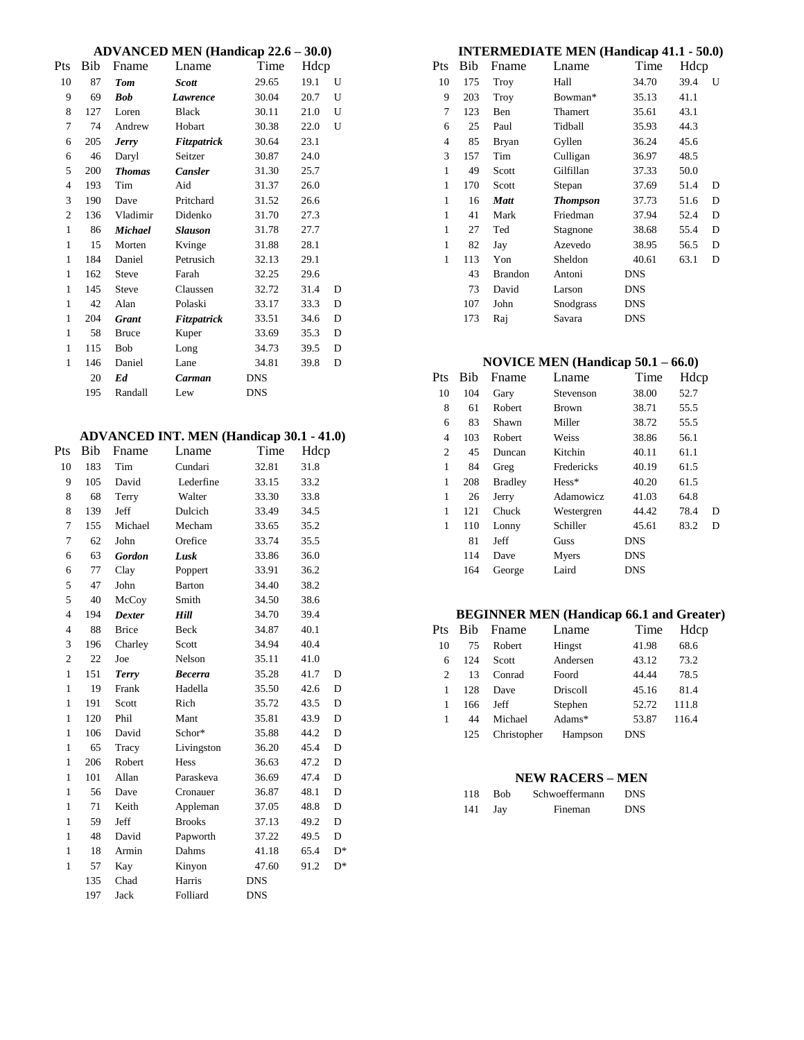### **ADVANCED MEN (Handicap 22.6 – 30.0)**

| Pts          | Bib | Fname          | Lname          | Time       | Hdcp |   |
|--------------|-----|----------------|----------------|------------|------|---|
| 10           | 87  | <b>Tom</b>     | <b>Scott</b>   | 29.65      | 19.1 | U |
| 9            | 69  | <b>Bob</b>     | Lawrence       | 30.04      | 20.7 | U |
| 8            | 127 | Loren          | <b>Black</b>   | 30.11      | 21.0 | U |
| 7            | 74  | Andrew         | Hobart         | 30.38      | 22.0 | U |
| 6            | 205 | <b>Jerry</b>   | Fitzpatrick    | 30.64      | 23.1 |   |
| 6            | 46  | Daryl          | Seitzer        | 30.87      | 24.0 |   |
| 5            | 200 | <b>Thomas</b>  | <b>Cansler</b> | 31.30      | 25.7 |   |
| 4            | 193 | Tim            | Aid            | 31.37      | 26.0 |   |
| 3            | 190 | Dave           | Pritchard      | 31.52      | 26.6 |   |
| 2            | 136 | Vladimir       | Didenko        | 31.70      | 27.3 |   |
| 1            | 86  | <b>Michael</b> | <b>Slauson</b> | 31.78      | 27.7 |   |
| $\mathbf{1}$ | 15  | Morten         | Kvinge         | 31.88      | 28.1 |   |
| 1            | 184 | Daniel         | Petrusich      | 32.13      | 29.1 |   |
| $\mathbf{1}$ | 162 | <b>Steve</b>   | Farah          | 32.25      | 29.6 |   |
| 1            | 145 | <b>Steve</b>   | Claussen       | 32.72      | 31.4 | D |
| $\mathbf{1}$ | 42  | Alan           | Polaski        | 33.17      | 33.3 | D |
| 1            | 204 | <b>Grant</b>   | Fitzpatrick    | 33.51      | 34.6 | D |
| 1            | 58  | <b>Bruce</b>   | Kuper          | 33.69      | 35.3 | D |
| $\mathbf{1}$ | 115 | <b>Bob</b>     | Long           | 34.73      | 39.5 | D |
| 1            | 146 | Daniel         | Lane           | 34.81      | 39.8 | D |
|              | 20  | Ed             | Carman         | <b>DNS</b> |      |   |
|              | 195 | Randall        | Lew            | <b>DNS</b> |      |   |

### **ADVANCED INT. MEN (Handicap 30.1 - 41.0)**

| Pts            | Bib | Fname         | Lname          | Time       | Hdcp |       |
|----------------|-----|---------------|----------------|------------|------|-------|
| 10             | 183 | Tim           | Cundari        | 32.81      | 31.8 |       |
| 9              | 105 | David         | Lederfine      | 33.15      | 33.2 |       |
| 8              | 68  | Terry         | Walter         | 33.30      | 33.8 |       |
| 8              | 139 | Jeff          | Dulcich        | 33.49      | 34.5 |       |
| 7              | 155 | Michael       | Mecham         | 33.65      | 35.2 |       |
| 7              | 62  | John          | Orefice        | 33.74      | 35.5 |       |
| 6              | 63  | <b>Gordon</b> | Lusk           | 33.86      | 36.0 |       |
| 6              | 77  | Clay          | Poppert        | 33.91      | 36.2 |       |
| 5              | 47  | John          | <b>Barton</b>  | 34.40      | 38.2 |       |
| 5              | 40  | McCoy         | Smith          | 34.50      | 38.6 |       |
| $\overline{4}$ | 194 | <b>Dexter</b> | Hill           | 34.70      | 39.4 |       |
| $\overline{4}$ | 88  | <b>Brice</b>  | Beck           | 34.87      | 40.1 |       |
| 3              | 196 | Charley       | Scott          | 34.94      | 40.4 |       |
| $\overline{c}$ | 22  | Joe           | Nelson         | 35.11      | 41.0 |       |
| $\mathbf{1}$   | 151 | Terry         | <b>Becerra</b> | 35.28      | 41.7 | D     |
| 1              | 19  | Frank         | Hadella        | 35.50      | 42.6 | D     |
| $\mathbf{1}$   | 191 | Scott         | Rich           | 35.72      | 43.5 | D     |
| $\mathbf{1}$   | 120 | Phil          | Mant           | 35.81      | 43.9 | D     |
| $\mathbf{1}$   | 106 | David         | Schor*         | 35.88      | 44.2 | D     |
| $\mathbf{1}$   | 65  | Tracy         | Livingston     | 36.20      | 45.4 | D     |
| 1              | 206 | Robert        | Hess           | 36.63      | 47.2 | D     |
| $\mathbf{1}$   | 101 | Allan         | Paraskeva      | 36.69      | 47.4 | D     |
| $\mathbf{1}$   | 56  | Dave          | Cronauer       | 36.87      | 48.1 | D     |
| $\mathbf{1}$   | 71  | Keith         | Appleman       | 37.05      | 48.8 | D     |
| $\mathbf{1}$   | 59  | Jeff          | <b>Brooks</b>  | 37.13      | 49.2 | D     |
| $\mathbf{1}$   | 48  | David         | Papworth       | 37.22      | 49.5 | D     |
| $\mathbf{1}$   | 18  | Armin         | Dahms          | 41.18      | 65.4 | $D^*$ |
| $\mathbf{1}$   | 57  | Kay           | Kinyon         | 47.60      | 91.2 | $D^*$ |
|                | 135 | Chad          | Harris         | <b>DNS</b> |      |       |
|                | 197 | Jack          | Folliard       | <b>DNS</b> |      |       |

# **INTERMEDIATE MEN (Handicap 41.1 - 50.0)** Pts Bib Fname Lname Time Hdcp

| 'ts          | Bib | Fname          | Lname           | Time       | Hdcp |   |
|--------------|-----|----------------|-----------------|------------|------|---|
| 10           | 175 | Troy           | Hall            | 34.70      | 39.4 | U |
| 9            | 203 | Troy           | Bowman*         | 35.13      | 41.1 |   |
| 7            | 123 | Ben            | Thamert         | 35.61      | 43.1 |   |
| 6            | 25  | Paul           | Tidball         | 35.93      | 44.3 |   |
| 4            | 85  | Bryan          | Gyllen          | 36.24      | 45.6 |   |
| 3            | 157 | Tim            | Culligan        | 36.97      | 48.5 |   |
| $\mathbf{1}$ | 49  | Scott          | Gilfillan       | 37.33      | 50.0 |   |
| $\mathbf{1}$ | 170 | Scott          | Stepan          | 37.69      | 51.4 | D |
| 1            | 16  | <b>Matt</b>    | <b>Thompson</b> | 37.73      | 51.6 | D |
| 1            | 41  | Mark           | Friedman        | 37.94      | 52.4 | D |
| 1            | 27  | Ted            | Stagnone        | 38.68      | 55.4 | D |
| 1            | 82  | Jay            | Azevedo         | 38.95      | 56.5 | D |
| 1            | 113 | Yon            | Sheldon         | 40.61      | 63.1 | D |
|              | 43  | <b>Brandon</b> | Antoni          | <b>DNS</b> |      |   |
|              | 73  | David          | Larson          | <b>DNS</b> |      |   |
|              | 107 | John           | Snodgrass       | <b>DNS</b> |      |   |
|              | 173 | Raj            | Savara          | DNS        |      |   |

## **NOVICE MEN (Handicap 50.1 – 66.0)**

| Pts | Bib | Fname          | Lname        | Time       | Hdcp |   |
|-----|-----|----------------|--------------|------------|------|---|
| 10  | 104 | Gary           | Stevenson    | 38.00      | 52.7 |   |
| 8   | 61  | <b>Robert</b>  | <b>Brown</b> | 38.71      | 55.5 |   |
| 6   | 83  | Shawn          | Miller       | 38.72      | 55.5 |   |
| 4   | 103 | <b>Robert</b>  | Weiss        | 38.86      | 56.1 |   |
| 2   | 45  | Duncan         | Kitchin      | 40.11      | 61.1 |   |
| 1   | 84  | Greg           | Fredericks   | 40.19      | 61.5 |   |
| 1   | 208 | <b>Bradley</b> | $Hess*$      | 40.20      | 61.5 |   |
| 1   | 26  | Jerry          | Adamowicz    | 41.03      | 64.8 |   |
| 1   | 121 | Chuck          | Westergren   | 44.42      | 78.4 | D |
| 1   | 110 | Lonny          | Schiller     | 45.61      | 83.2 | D |
|     | 81  | Jeff           | Guss         | <b>DNS</b> |      |   |
|     | 114 | Dave           | Myers        | <b>DNS</b> |      |   |
|     | 164 | George         | Laird        | <b>DNS</b> |      |   |
|     |     |                |              |            |      |   |

## **BEGINNER MEN (Handicap 66.1 and Greater)**

| Pts           | Bib. | Fname         | Lname     | Time       | Hdcp  |
|---------------|------|---------------|-----------|------------|-------|
| 10            | 75   | <b>Robert</b> | Hingst    | 41.98      | 68.6  |
| 6             | 124  | Scott         | Andersen  | 43.12      | 73.2  |
| $\mathcal{L}$ | 13   | Conrad        | Foord     | 44.44      | 78.5  |
|               | 128  | Dave          | Driscoll  | 45.16      | 81.4  |
|               | 166  | Jeff          | Stephen   | 52.72      | 111.8 |
|               | 44   | Michael       | Adams $*$ | 53.87      | 116.4 |
|               | 125  | Christopher   | Hampson   | <b>DNS</b> |       |

#### **NEW RACERS – MEN**

| 118. | <b>Bob</b> | Schwoeffermann | <b>DNS</b> |
|------|------------|----------------|------------|
| 141  | Jay        | Fineman        | <b>DNS</b> |